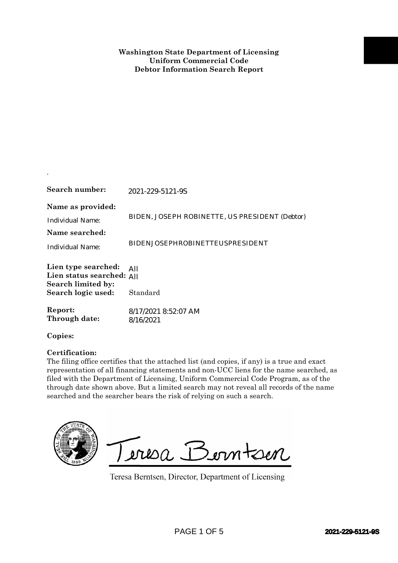| Search number:                                                                                                                                                                                                                                                                                                                                                                                                                                                  | 2021-229-5121-9S                                                      |
|-----------------------------------------------------------------------------------------------------------------------------------------------------------------------------------------------------------------------------------------------------------------------------------------------------------------------------------------------------------------------------------------------------------------------------------------------------------------|-----------------------------------------------------------------------|
| Name as provided:<br><b>Individual Name:</b><br>Name searched:                                                                                                                                                                                                                                                                                                                                                                                                  | BIDEN, JOSEPH ROBINETTE, US PRESIDENT (Debtor)                        |
| <b>Individual Name:</b>                                                                                                                                                                                                                                                                                                                                                                                                                                         | <b>BIDENJOSEPHROBINETTEUSPRESIDENT</b>                                |
| Lien type searched:<br>Lien status searched: All<br>Search limited by:                                                                                                                                                                                                                                                                                                                                                                                          | All                                                                   |
| Search logic used:                                                                                                                                                                                                                                                                                                                                                                                                                                              | Standard                                                              |
| Report:<br>Through date:                                                                                                                                                                                                                                                                                                                                                                                                                                        | 8/17/2021 8:52:07 AM<br>8/16/2021                                     |
| Copies:                                                                                                                                                                                                                                                                                                                                                                                                                                                         |                                                                       |
| Certification:<br>The filing office certifies that the attached list (and copies, if any) is a true and exact<br>representation of all financing statements and non-UCC liens for the name searched, as<br>filed with the Department of Licensing, Uniform Commercial Code Program, as of the<br>through date shown above. But a limited search may not reveal all records of the name<br>searched and the searcher bears the risk of relying on such a search. |                                                                       |
|                                                                                                                                                                                                                                                                                                                                                                                                                                                                 | Teresa Berntsen<br>Teresa Berntsen, Director, Department of Licensing |
|                                                                                                                                                                                                                                                                                                                                                                                                                                                                 | PAGE 1 OF 5<br>2021-229-5121-9S                                       |

.

## **Certification:**

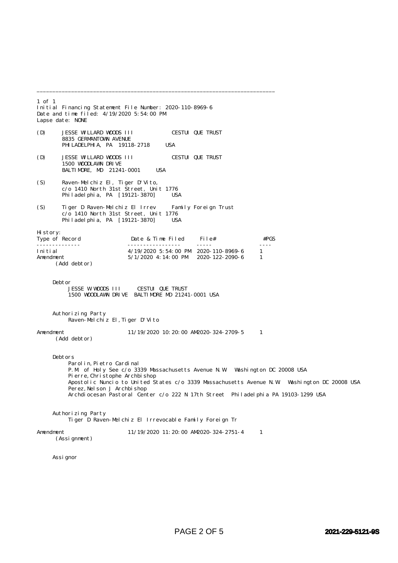1 of 1 Initial Financing Statement File Number: 2020-110-8969-6 Date and time filed: 4/19/2020 5:54:00 PM Lapse date: NONE (D) JESSE WILLARD WOODS III CESTUI QUE TRUST 8835 GERMANTOWN AVENUE PHILADELPHIA, PA 19118-2718 USA (D) JESSE WILLARD WOODS III CESTUI QUE TRUST 1500 WOODLAWN DRIVE BALTIMORE, MD 21241-0001 USA (S) Raven-Melchiz El, Tiger D'Vito, c/o 1410 North 31st Street, Unit 1776 Philadelphia, PA [19121-3870] USA (S) Tiger D Raven-Melchiz El Irrev Family Foreign Trust c/o 1410 North 31st Street, Unit 1776 Philadelphia, PA [19121-3870] USA History:<br>Type of Record Date & Time Filed File#  $#PGS$ -------------- ----------------- ----- ---- Initial 1.12020 5:54:00 PM 2020-110-8969-6<br>
4/19/2020 4:14:00 PM 2020-122-2090-6  $5/1/2020$  4:14:00 PM 2020-122-2090-6 1 (Add debtor) Debtor JESSE W WOODS III CESTUI QUE TRUST 1500 WOODLAWN DRIVE BALTIMORE MD 21241-0001 USA Authorizing Party Raven-Melchiz El,Tiger D'Vito Amendment 11/19/2020 10:20:00 AM2020-324-2709-5 1 (Add debtor) Debtors Parolin, Pietro Cardinal P.M. of Holy See c/o 3339 Massachusetts Avenue N.W. Washington DC 20008 USA Pierre, Christophe Archbishop Apostolic Nuncio to United States c/o 3339 Massachusetts Avenue N.W. Washington DC 20008 USA Perez, Nel son J Archbi shop Archdiocesan Pastoral Center c/o 222 N 17th Street Philadelphia PA 19103-1299 USA Authorizing Party Tiger D Raven-Melchiz El Irrevocable Family Foreign Tr Amendment 11/19/2020 11:20:00 AM2020-324-2751-4 1 (Assignment)

\_\_\_\_\_\_\_\_\_\_\_\_\_\_\_\_\_\_\_\_\_\_\_\_\_\_\_\_\_\_\_\_\_\_\_\_\_\_\_\_\_\_\_\_\_\_\_\_\_\_\_\_\_\_\_\_\_\_\_\_\_\_\_\_\_\_\_\_\_\_\_\_\_\_\_\_

Assignor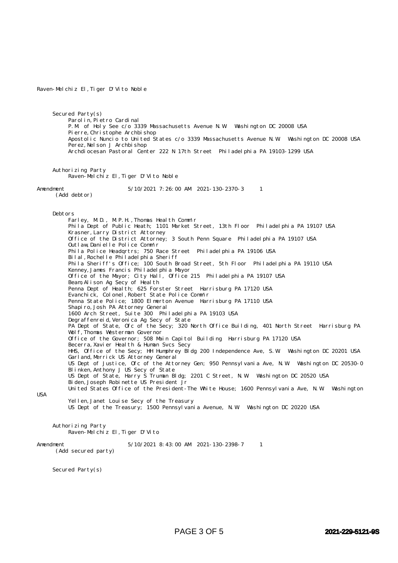## Raven-Melchiz El,Tiger D'Vito Noble

 Secured Party(s) Parolin, Pietro Cardinal P.M. of Holy See c/o 3339 Massachusetts Avenue N.W. Washington DC 20008 USA Pierre, Christophe Archbishop Apostolic Nuncio to United States c/o 3339 Massachusetts Avenue N.W. Washington DC 20008 USA Perez, Nelson J Archbishop Archdiocesan Pastoral Center 222 N 17th Street Philadelphia PA 19103-1299 USA

 Authorizing Party Raven-Melchiz El,Tiger D'Vito Noble

Amendment 5/10/2021 7:26:00 AM 2021-130-2370-3 1

(Add debtor)

 Debtors Farley, M.D., M.P.H.,Thomas Health Comm'r Phila Dept of Public Heath; 1101 Market Street, 13th Floor Philadelphia PA 19107 USA Krasner,Larry District Attorney Office of the District Attorney; 3 South Penn Square Philadelphia PA 19107 USA Outlaw,Danielle Police Comm'r Phila Police Headqrtrs; 750 Race Street Philadelphia PA 19106 USA Bilal, Rochelle Philadelphia Sheriff Phila Sheriff's Office; 100 South Broad Street, 5th Floor Philadelphia PA 19110 USA Kenney,James Francis Philadelphia Mayor Office of the Mayor; City Hall, Office 215 Philadelphia PA 19107 USA Beam,Alison Ag Secy of Health Penna Dept of Health; 625 Forster Street Harrisburg PA 17120 USA Evanchick, Colonel,Robert State Police Comm'r Penna State Police; 1800 Elmerton Avenue Harrisburg PA 17110 USA Shapiro,Josh PA Attorney General 1600 Arch Street, Suite 300 Philadelphia PA 19103 USA Degraffenreid, Veronica Ag Secy of State PA Dept of State, Ofc of the Secy; 320 North Office Building, 401 North Street Harrisburg PA Wolf, Thomas Westerman Governor Office of the Governor; 508 Main Capitol Building Harrisburg PA 17120 USA Becerra,Xavier Health & Human Svcs Secy HHS, Office of the Secy; HH Humphrey Bldg 200 Independence Ave, S.W. Washington DC 20201 USA Garl and, Merrick US Attorney General US Dept of Justice, Ofc of the Attorney Gen; 950 Pennsylvania Ave, N.W. Washington DC 20530-0 Blinken,Anthony J US Secy of State US Dept of State, Harry S Truman Bldg; 2201 C Street, N.W. Washington DC 20520 USA Biden,Joseph Robinette US President Jr United States Office of the President-The White House; 1600 Pennsylvania Ave, N.W. Washington Yellen, Janet Louise Secy of the Treasury

USA

US Dept of the Treasury; 1500 Pennsylvania Avenue, N.W. Washington DC 20220 USA

 Authorizing Party Raven-Melchiz El,Tiger D'Vito

Amendment 5/10/2021 8:43:00 AM 2021-130-2398-7 1

(Add secured party)

Secured Party(s)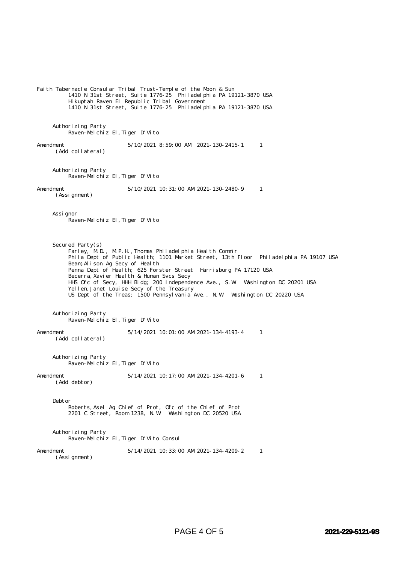Faith Tabernacle Consular Tribal Trust-Temple of the Moon & Sun 1410 N 31st Street, Suite 1776-25 Philadelphia PA 19121-3870 USA Hikuptah Raven El Republic Tribal Government 1410 N 31st Street, Suite 1776-25 Philadelphia PA 19121-3870 USA Authorizing Party Raven-Melchiz El,Tiger D'Vito Amendment 5/10/2021 8:59:00 AM 2021-130-2415-1 1 (Add collateral) Authorizing Party Raven-Melchiz El,Tiger D'Vito Amendment 5/10/2021 10:31:00 AM 2021-130-2480-9 1 (Assignment) Assignor Raven-Melchiz El,Tiger D'Vito Secured Party(s) Farley, M.D., M.P.H., Thomas Philadelphia Health Comm'r Phila Dept of Public Health; 1101 Market Street, 13th Floor Philadelphia PA 19107 USA Beam,Alison Ag Secy of Health Penna Dept of Health; 625 Forster Street Harrisburg PA 17120 USA Becerra, Xavier Health & Human Svcs Secy HHS Ofc of Secy, HHH Bldg; 200 Independence Ave., S.W. Washington DC 20201 USA Yellen, Janet Louise Secy of the Treasury US Dept of the Treas; 1500 Pennsylvania Ave., N.W. Washington DC 20220 USA Authorizing Party Raven-Melchiz El,Tiger D'Vito Amendment 5/14/2021 10:01:00 AM 2021-134-4193-4 1 (Add collateral) Authorizing Party Raven-Melchiz El,Tiger D'Vito Amendment 5/14/2021 10:17:00 AM 2021-134-4201-6 1 (Add debtor) Debtor Roberts,Asel Ag Chief of Prot, Ofc of the Chief of Prot 2201 C Street, Room 1238, N.W. Washington DC 20520 USA Authorizing Party Raven-Melchiz El,Tiger D'Vito Consul Amendment 5/14/2021 10:33:00 AM 2021-134-4209-2 1 (Assignment)